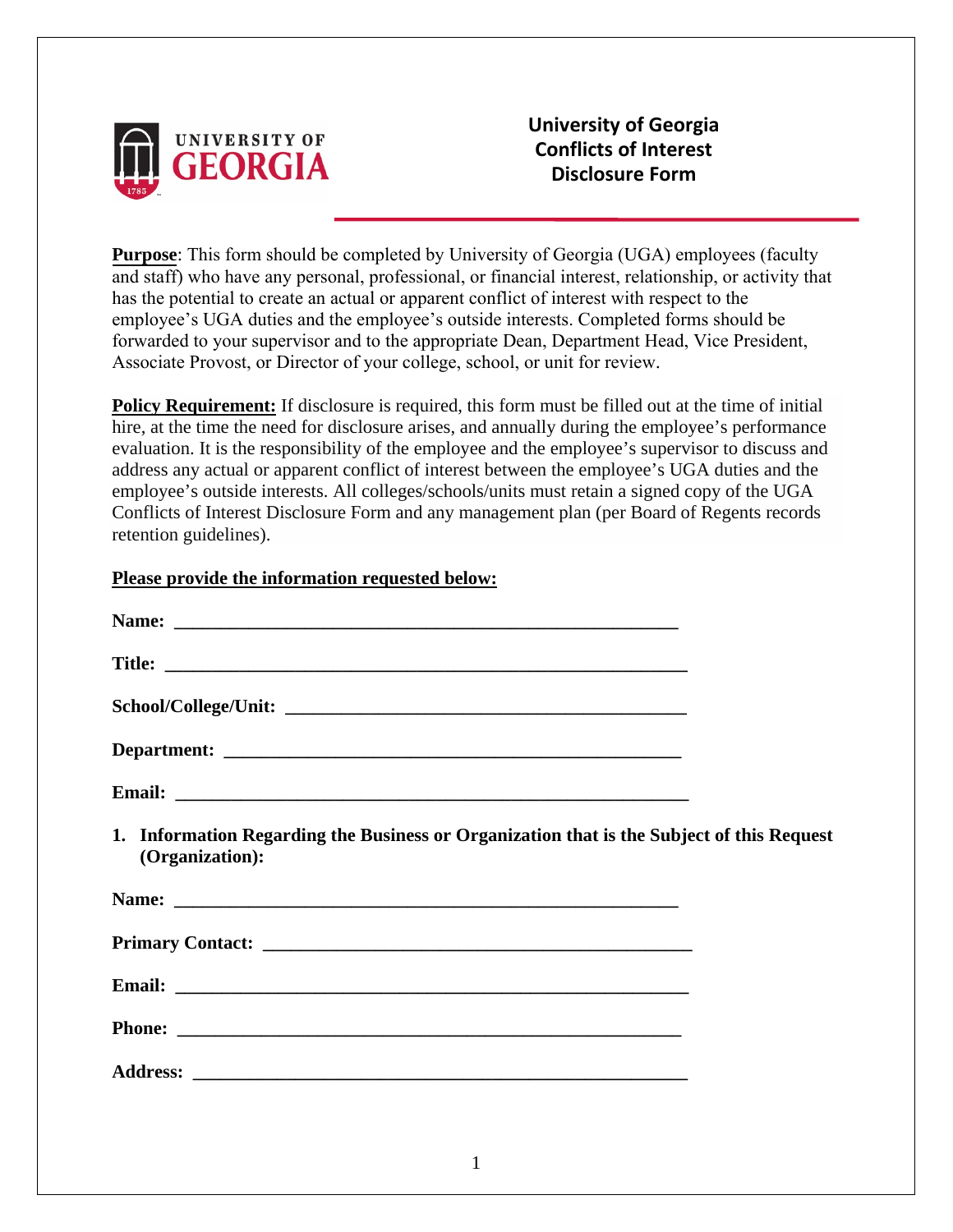

**University of Georgia Conflicts of Interest Disclosure Form**

**Purpose**: This form should be completed by University of Georgia (UGA) employees (faculty and staff) who have any personal, professional, or financial interest, relationship, or activity that has the potential to create an actual or apparent conflict of interest with respect to the employee's UGA duties and the employee's outside interests. Completed forms should be forwarded to your supervisor and to the appropriate Dean, Department Head, Vice President, Associate Provost, or Director of your college, school, or unit for review.

**Policy Requirement:** If disclosure is required, this form must be filled out at the time of initial hire, at the time the need for disclosure arises, and annually during the employee's performance evaluation. It is the responsibility of the employee and the employee's supervisor to discuss and address any actual or apparent conflict of interest between the employee's UGA duties and the employee's outside interests. All colleges/schools/units must retain a signed copy of the UGA Conflicts of Interest Disclosure Form and any management plan (per Board of Regents records retention guidelines).

## **Please provide the information requested below:**

| Name: Name: Name: Name: Name: Name: Name: Name: Name: Name: Name: Name: Name: Name: Name: Name: Name: Name: Name: Name: Name: Name: Name: Name: Name: Name: Name: Name: Name: Name: Name: Name: Name: Name: Name: Name: Name: |  |
|-------------------------------------------------------------------------------------------------------------------------------------------------------------------------------------------------------------------------------|--|
|                                                                                                                                                                                                                               |  |
|                                                                                                                                                                                                                               |  |
|                                                                                                                                                                                                                               |  |
|                                                                                                                                                                                                                               |  |
| 1. Information Regarding the Business or Organization that is the Subject of this Request<br>(Organization):                                                                                                                  |  |
|                                                                                                                                                                                                                               |  |
|                                                                                                                                                                                                                               |  |
|                                                                                                                                                                                                                               |  |
|                                                                                                                                                                                                                               |  |
|                                                                                                                                                                                                                               |  |
|                                                                                                                                                                                                                               |  |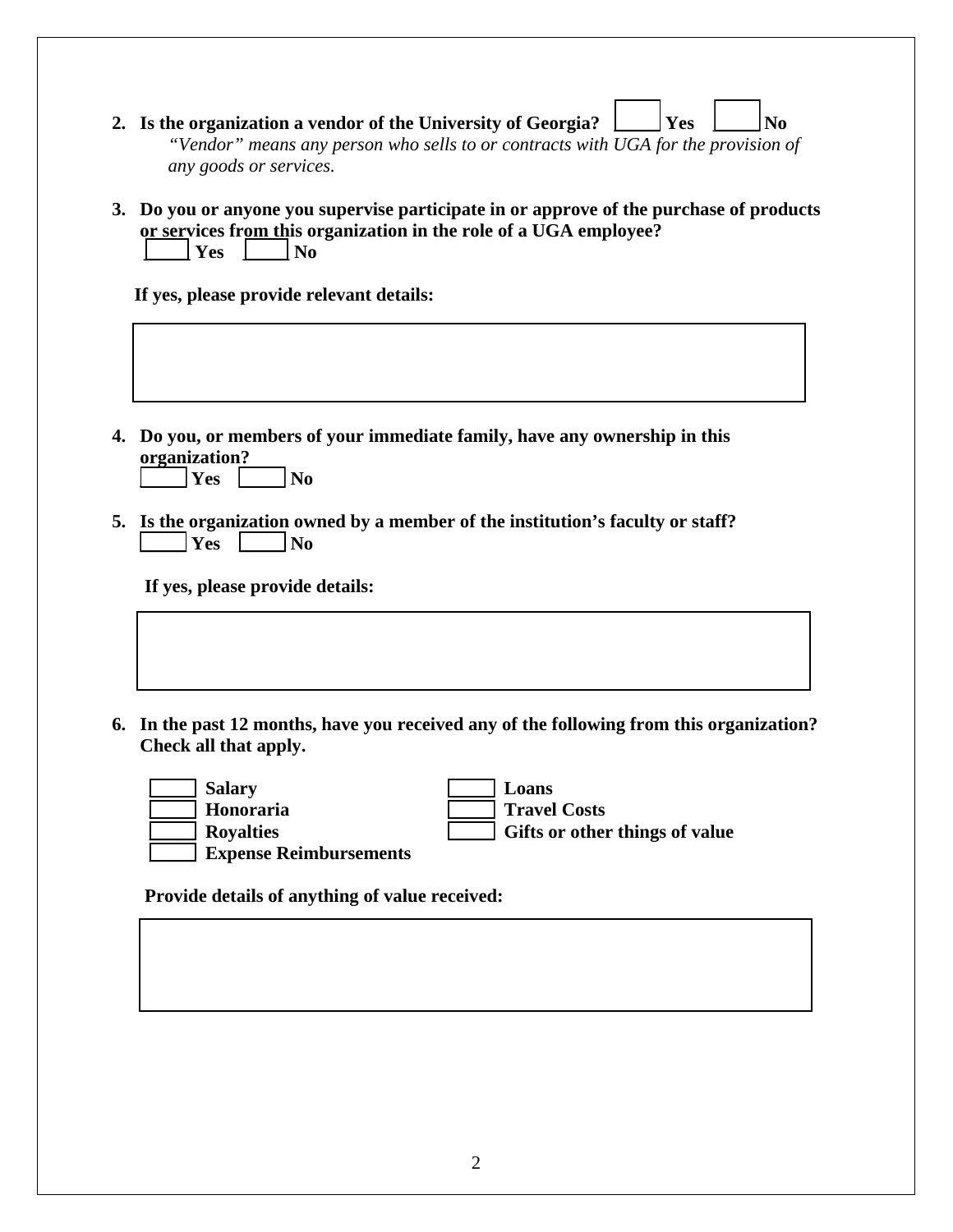- **2.** Is the organization a vendor of the University of Georgia?  $\Box$  Yes  $\Box$  No *"Vendor" means any person who sells to or contracts with UGA for the provision of any goods or services.*
- **3. Do you or anyone you supervise participate in or approve of the purchase of products or services from this organization in the role of a UGA employee?**  $\vert$  Yes  $\vert$   $\vert$  No

**If yes, please provide relevant details:**

**4. Do you, or members of your immediate family, have any ownership in this organization?**

| . .<br>----- |  |
|--------------|--|
| -<br>. .     |  |

**5. Is the organization owned by a member of the institution's faculty or staff? \_\_\_\_\_ Yes \_\_\_\_\_ No**

**If yes, please provide details:**

**6. In the past 12 months, have you received any of the following from this organization? Check all that apply.**

| <b>Salary</b>                 | Loans                          |
|-------------------------------|--------------------------------|
| Honoraria                     | <b>Travel Costs</b>            |
| <b>Royalties</b>              | Gifts or other things of value |
| <b>Expense Reimbursements</b> |                                |

 **Provide details of anything of value received:**